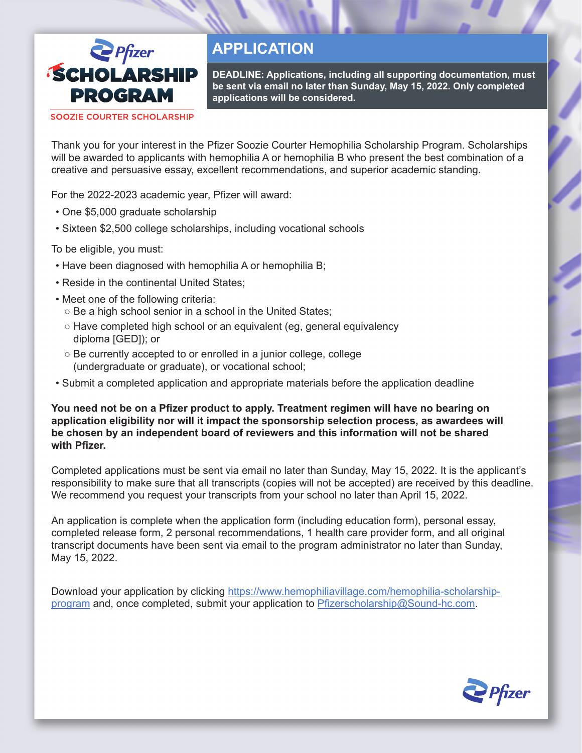

# **APPLICATION**

**DEADLINE: Applications, including all supporting documentation, must be sent via email no later than Sunday, May 15, 2022. Only completed applications will be considered.**

**SOOZIE COURTER SCHOLARSHIP** 

Thank you for your interest in the Pfizer Soozie Courter Hemophilia Scholarship Program. Scholarships will be awarded to applicants with hemophilia A or hemophilia B who present the best combination of a creative and persuasive essay, excellent recommendations, and superior academic standing.

For the 2022-2023 academic year, Pfizer will award:

- One \$5,000 graduate scholarship
- Sixteen \$2,500 college scholarships, including vocational schools

To be eligible, you must:

- Have been diagnosed with hemophilia A or hemophilia B;
- Reside in the continental United States;
- Meet one of the following criteria:
	- Be a high school senior in a school in the United States;
	- Have completed high school or an equivalent (eg, general equivalency diploma [GED]); or
	- Be currently accepted to or enrolled in a junior college, college (undergraduate or graduate), or vocational school;
- Submit a completed application and appropriate materials before the application deadline

**You need not be on a Pfizer product to apply. Treatment regimen will have no bearing on application eligibility nor will it impact the sponsorship selection process, as awardees will be chosen by an independent board of reviewers and this information will not be shared with Pfizer.**

Completed applications must be sent via email no later than Sunday, May 15, 2022. It is the applicant's responsibility to make sure that all transcripts (copies will not be accepted) are received by this deadline. We recommend you request your transcripts from your school no later than April 15, 2022.

An application is complete when the application form (including education form), personal essay, completed release form, 2 personal recommendations, 1 health care provider form, and all original transcript documents have been sent via email to the program administrator no later than Sunday, May 15, 2022.

Download your application by clicking [https://www.hemophiliavillage.com/hemophilia-scholarship](https://www.hemophiliavillage.com/scholarship-program)[program](https://www.hemophiliavillage.com/scholarship-program) and, once completed, submit your application to Pfizerscholarship@Sound-hc.com.

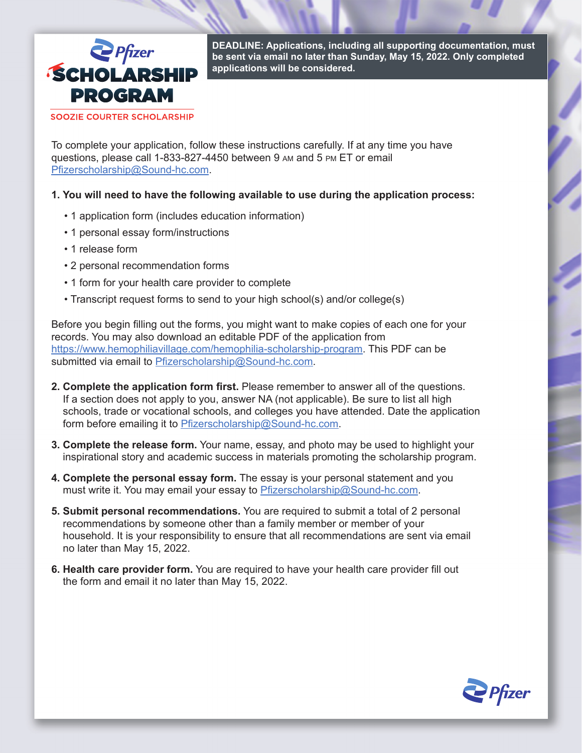

**DEADLINE: Applications, including all supporting documentation, must be sent via email no later than Sunday, May 15, 2022. Only completed applications will be considered.**

**SOOZIE COURTER SCHOLARSHIP** 

To complete your application, follow these instructions carefully. If at any time you have questions, please call 1-833-827-4450 between 9 am and 5 pm ET or email Pfizerscholarship@Sound-hc.com.

**1. You will need to have the following available to use during the application process:**

- 1 application form (includes education information)
- 1 personal essay form/instructions
- 1 release form
- 2 personal recommendation forms
- 1 form for your health care provider to complete
- Transcript request forms to send to your high school(s) and/or college(s)

Before you begin filling out the forms, you might want to make copies of each one for your records. You may also download an editable PDF of the application from https://www.hemophiliavillage.com/hemophilia-scholarship-program. This PDF can be submitted via email to Pfizerscholarship@Sound-hc.com.

- **2. Complete the application form first.** Please remember to answer all of the questions. If a section does not apply to you, answer NA (not applicable). Be sure to list all high schools, trade or vocational schools, and colleges you have attended. Date the application form before emailing it to Pfizerscholarship@Sound-hc.com.
- **3. Complete the release form.** Your name, essay, and photo may be used to highlight your inspirational story and academic success in materials promoting the scholarship program.
- **4. Complete the personal essay form.** The essay is your personal statement and you must write it. You may email your essay to Pfizerscholarship@Sound-hc.com.
- **5. Submit personal recommendations.** You are required to submit a total of 2 personal recommendations by someone other than a family member or member of your household. It is your responsibility to ensure that all recommendations are sent via email no later than May 15, 2022.
- **6. Health care provider form.** You are required to have your health care provider fill out the form and email it no later than May 15, 2022.

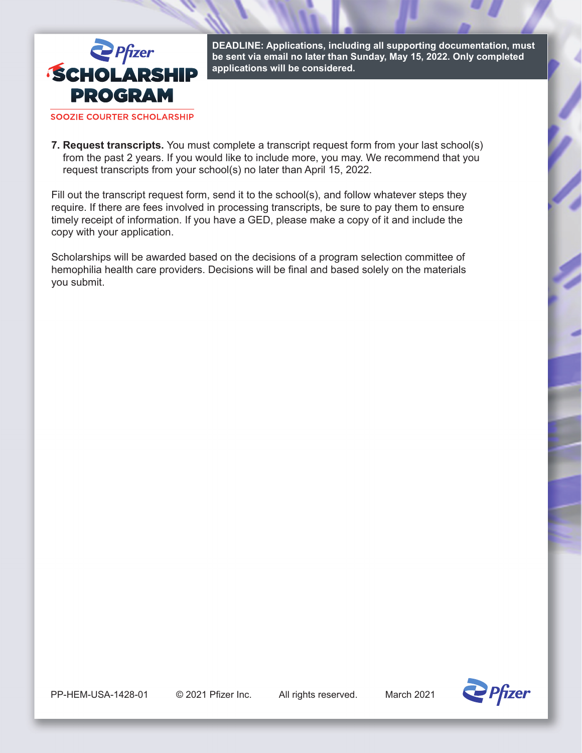

**DEADLINE: Applications, including all supporting documentation, must be sent via email no later than Sunday, May 15, 2022. Only completed applications will be considered.**

**SOOZIE COURTER SCHOLARSHIP** 

**7. Request transcripts.** You must complete a transcript request form from your last school(s) from the past 2 years. If you would like to include more, you may. We recommend that you request transcripts from your school(s) no later than April 15, 2022.

Fill out the transcript request form, send it to the school(s), and follow whatever steps they require. If there are fees involved in processing transcripts, be sure to pay them to ensure timely receipt of information. If you have a GED, please make a copy of it and include the copy with your application.

Scholarships will be awarded based on the decisions of a program selection committee of hemophilia health care providers. Decisions will be final and based solely on the materials you submit.

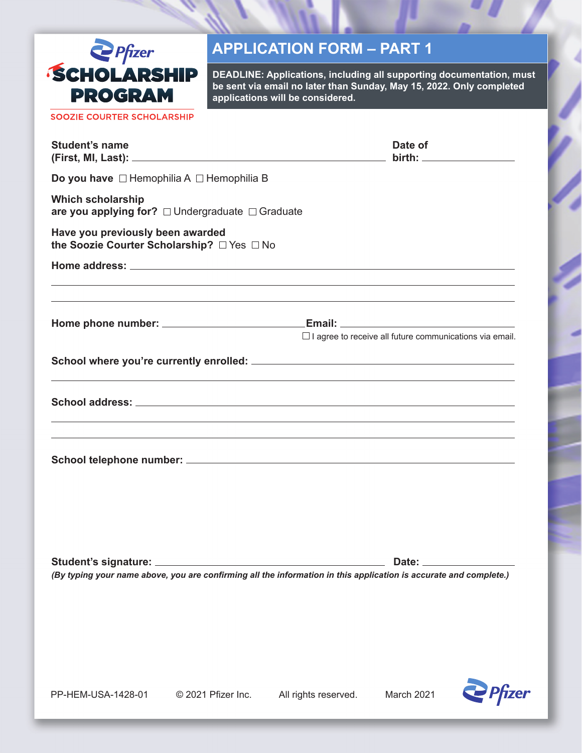

## **APPLICATION FORM – PART 1**

**DEADLINE: Applications, including all supporting documentation, must be sent via email no later than Sunday, May 15, 2022. Only completed applications will be considered.**

SOOZIE COURTER SCHOLARSHIP

| <b>Student's name</b>                                                                                             |                    |                      | Date of                                                        |                    |
|-------------------------------------------------------------------------------------------------------------------|--------------------|----------------------|----------------------------------------------------------------|--------------------|
| Do you have $\Box$ Hemophilia A $\Box$ Hemophilia B                                                               |                    |                      |                                                                |                    |
| <b>Which scholarship</b><br>are you applying for? $\Box$ Undergraduate $\Box$ Graduate                            |                    |                      |                                                                |                    |
| Have you previously been awarded<br>the Soozie Courter Scholarship? □ Yes □ No                                    |                    |                      |                                                                |                    |
|                                                                                                                   |                    |                      |                                                                |                    |
|                                                                                                                   |                    |                      |                                                                |                    |
|                                                                                                                   |                    |                      | $\Box$ I agree to receive all future communications via email. |                    |
|                                                                                                                   |                    |                      |                                                                |                    |
|                                                                                                                   |                    |                      |                                                                |                    |
|                                                                                                                   |                    |                      |                                                                |                    |
|                                                                                                                   |                    |                      |                                                                |                    |
| (By typing your name above, you are confirming all the information in this application is accurate and complete.) |                    |                      |                                                                | Date: ____________ |
|                                                                                                                   |                    |                      |                                                                |                    |
| PP-HEM-USA-1428-01                                                                                                | © 2021 Pfizer Inc. | All rights reserved. | March 2021                                                     | <b>Pfize</b>       |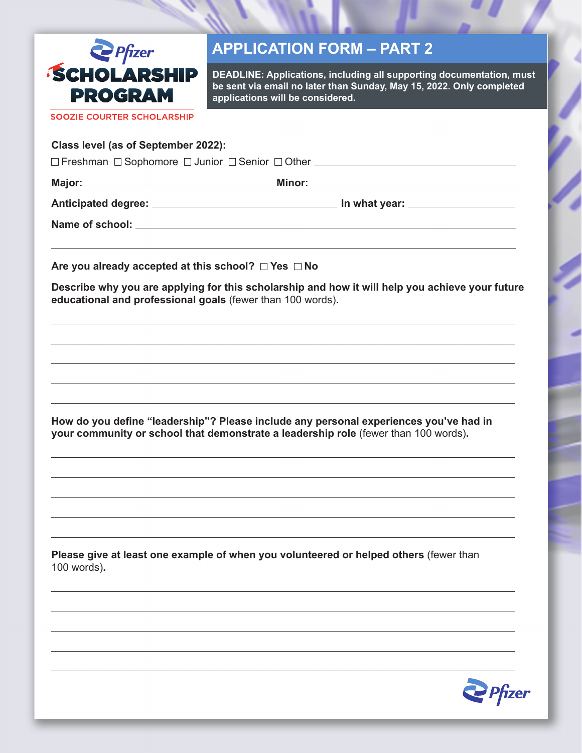

### **APPLICATION FORM – PART 2**

**DEADLINE: Applications, including all supporting documentation, must be sent via email no later than Sunday, May 15, 2022. Only completed applications will be considered.**

**SOOZIE COURTER SCHOLARSHIP** 

#### **Class level (as of September 2022):**

FreshmanSophomoreJuniorSeniorOther

**Major: Minor:** 

**Anticipated degree: In what year:** 

**Name of school:** 

Are you already accepted at this school?  $\Box$  Yes  $\Box$  No

**Describe why you are applying for this scholarship and how it will help you achieve your future educational and professional goals** (fewer than 100 words)**.**

**How do you define "leadership"? Please include any personal experiences you've had in your community or school that demonstrate a leadership role** (fewer than 100 words)**.**

**Please give at least one example of when you volunteered or helped others** (fewer than 100 words)**.**

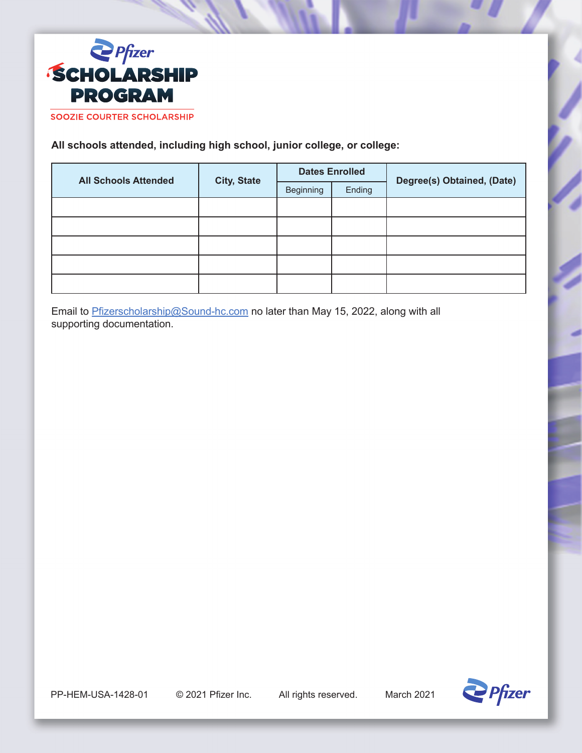

**All schools attended, including high school, junior college, or college:**

| <b>All Schools Attended</b> | <b>City, State</b> | <b>Dates Enrolled</b> |        | Degree(s) Obtained, (Date) |
|-----------------------------|--------------------|-----------------------|--------|----------------------------|
|                             |                    | Beginning             | Ending |                            |
|                             |                    |                       |        |                            |
|                             |                    |                       |        |                            |
|                             |                    |                       |        |                            |
|                             |                    |                       |        |                            |
|                             |                    |                       |        |                            |

Email to **Pfizerscholarship@Sound-hc.com** no later than May 15, 2022, along with all supporting documentation.

PP-HEM-USA-1428-01 © 2021 Pfizer Inc. All rights reserved. March 2021

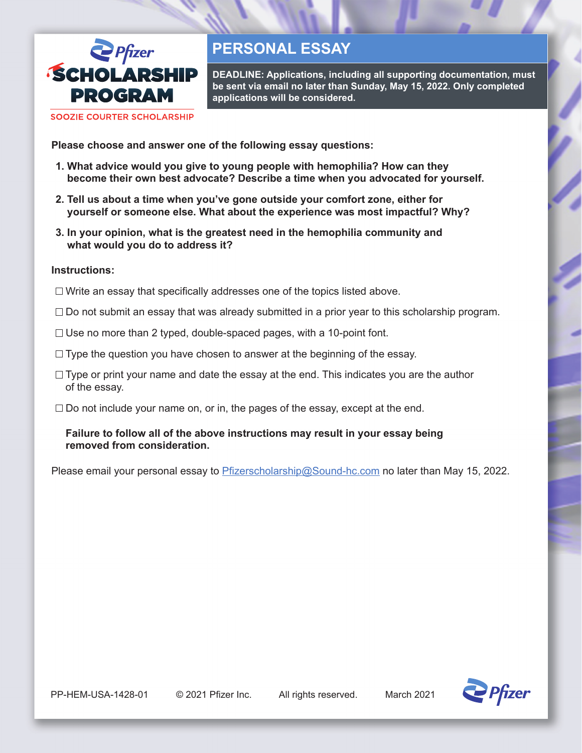

## **PERSONAL ESSAY**

**DEADLINE: Applications, including all supporting documentation, must be sent via email no later than Sunday, May 15, 2022. Only completed applications will be considered.**

**SOOZIE COURTER SCHOLARSHIP** 

**Please choose and answer one of the following essay questions:**

- **1. What advice would you give to young people with hemophilia? How can they become their own best advocate? Describe a time when you advocated for yourself.**
- **2. Tell us about a time when you've gone outside your comfort zone, either for yourself or someone else. What about the experience was most impactful? Why?**
- **3. In your opinion, what is the greatest need in the hemophilia community and what would you do to address it?**

#### **Instructions:**

- $\Box$  Write an essay that specifically addresses one of the topics listed above.
- $\Box$  Do not submit an essay that was already submitted in a prior year to this scholarship program.
- $\Box$  Use no more than 2 typed, double-spaced pages, with a 10-point font.
- $\Box$  Type the question you have chosen to answer at the beginning of the essay.
- $\Box$  Type or print your name and date the essay at the end. This indicates you are the author of the essay.
- $\Box$  Do not include your name on, or in, the pages of the essay, except at the end.

### **Failure to follow all of the above instructions may result in your essay being removed from consideration.**

Please email your personal essay to **Pfizerscholarship@Sound-hc.com** no later than May 15, 2022.

PP-HEM-USA-1428-01 © 2021 Pfizer Inc. All rights reserved. March 2021

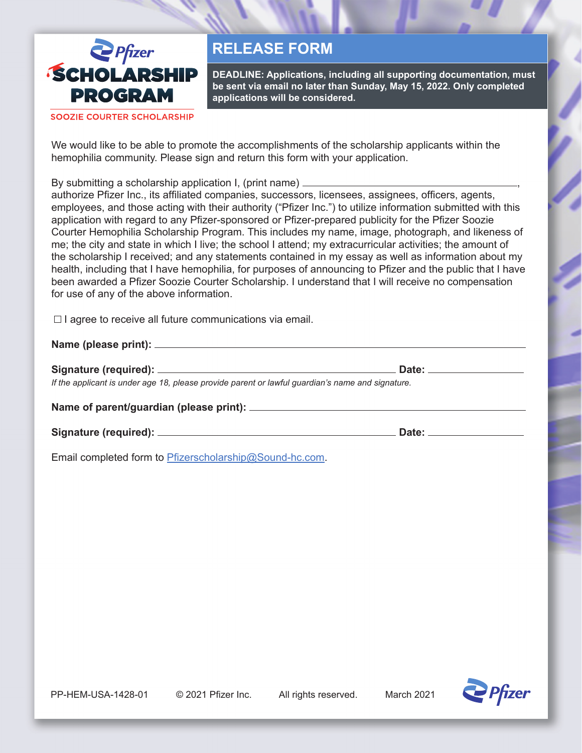

## **RELEASE FORM**

**DEADLINE: Applications, including all supporting documentation, must be sent via email no later than Sunday, May 15, 2022. Only completed applications will be considered.**

**SOOZIE COURTER SCHOLARSHIP** 

We would like to be able to promote the accomplishments of the scholarship applicants within the hemophilia community. Please sign and return this form with your application.

By submitting a scholarship application I, (print name) \_\_\_\_\_\_

authorize Pfizer Inc., its affiliated companies, successors, licensees, assignees, officers, agents, employees, and those acting with their authority ("Pfizer Inc.") to utilize information submitted with this application with regard to any Pfizer-sponsored or Pfizer-prepared publicity for the Pfizer Soozie Courter Hemophilia Scholarship Program. This includes my name, image, photograph, and likeness of me; the city and state in which I live; the school I attend; my extracurricular activities; the amount of the scholarship I received; and any statements contained in my essay as well as information about my health, including that I have hemophilia, for purposes of announcing to Pfizer and the public that I have been awarded a Pfizer Soozie Courter Scholarship. I understand that I will receive no compensation for use of any of the above information.

 $\Box$  I agree to receive all future communications via email.

**Name (please print):**

**Signature (required): Date:** *If the applicant is under age 18, please provide parent or lawful guardian's name and signature.*

**Name of parent/guardian (please print):**

**Signature (required): Date:**

Email completed form to Pfizerscholarship@Sound-hc.com.

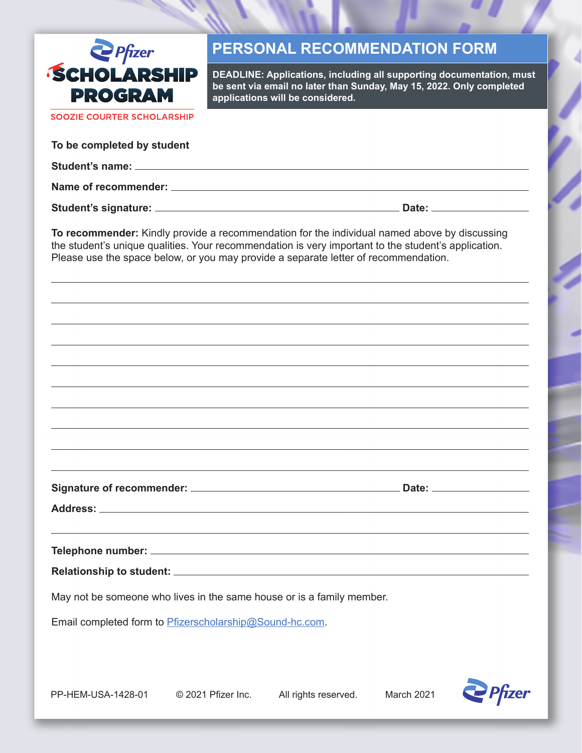

## **PERSONAL RECOMMENDATION FORM**

**DEADLINE: Applications, including all supporting documentation, must be sent via email no later than Sunday, May 15, 2022. Only completed applications will be considered.**

**SOOZIE COURTER SCHOLARSHIP** 

| To be completed by student    |       |
|-------------------------------|-------|
|                               |       |
|                               |       |
| Student's signature: ________ | Date: |

**To recommender:** Kindly provide a recommendation for the individual named above by discussing the student's unique qualities. Your recommendation is very important to the student's application. Please use the space below, or you may provide a separate letter of recommendation.

**Signature of recommender: Date:**

**Address:**

**Telephone number:**

**Relationship to student:**

May not be someone who lives in the same house or is a family member.

Email completed form to Pfizerscholarship@Sound-hc.com.

PP-HEM-USA-1428-01 © 2021 Pfizer Inc. All rights reserved. March 2021

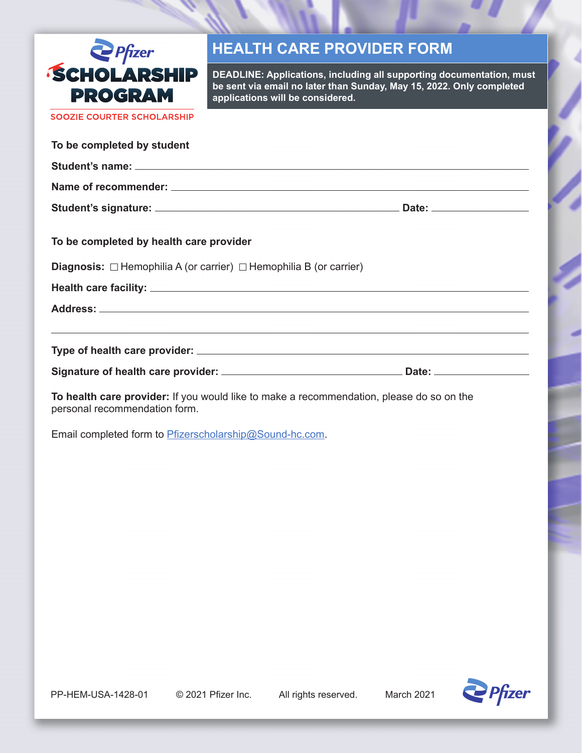

## **HEALTH CARE PROVIDER FORM**

**DEADLINE: Applications, including all supporting documentation, must be sent via email no later than Sunday, May 15, 2022. Only completed applications will be considered.**

SOOZIE COURTER SCHOLARSHIP

| To be completed by student                                                          |  |
|-------------------------------------------------------------------------------------|--|
|                                                                                     |  |
|                                                                                     |  |
|                                                                                     |  |
| To be completed by health care provider                                             |  |
| <b>Diagnosis:</b> $\Box$ Hemophilia A (or carrier) $\Box$ Hemophilia B (or carrier) |  |
|                                                                                     |  |
|                                                                                     |  |
| <u>,这就是这个人的人,我们就是这个人的人,我们就是这个人的人,我们就是这个人的人,我们就是这个人的人,我们就是这个人的人,我们就是</u>             |  |
|                                                                                     |  |

**To health care provider:** If you would like to make a recommendation, please do so on the personal recommendation form.

Email completed form to Pfizerscholarship@Sound-hc.com.

PP-HEM-USA-1428-01 © 2021 Pfizer Inc. All rights reserved. March 2021

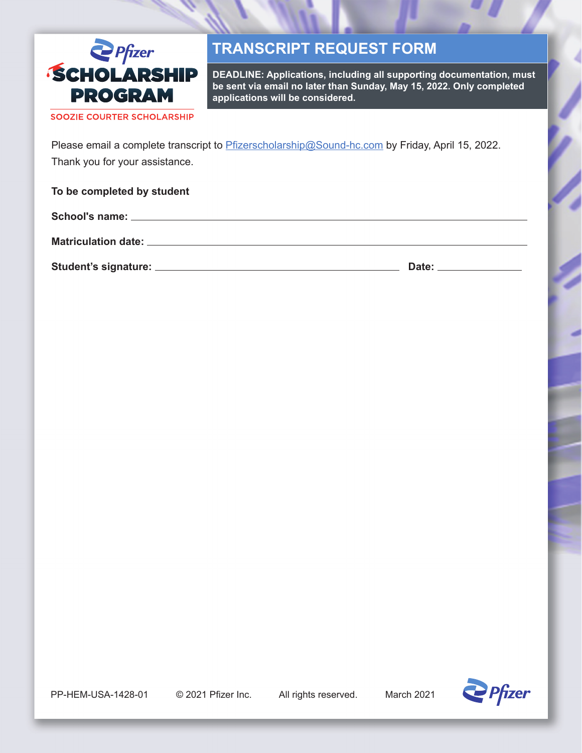

## **TRANSCRIPT REQUEST FORM**

**DEADLINE: Applications, including all supporting documentation, must be sent via email no later than Sunday, May 15, 2022. Only completed applications will be considered.**

SOOZIE COURTER SCHOLARSHIP

Please email a complete transcript to **Pfizerscholarship@Sound-hc.com** by Friday, April 15, 2022. Thank you for your assistance.

**To be completed by student**

**School's name:**

**Matriculation date:**

**Student's signature: Date:**

PP-HEM-USA-1428-01 © 2021 Pfizer Inc. All rights reserved. March 2021